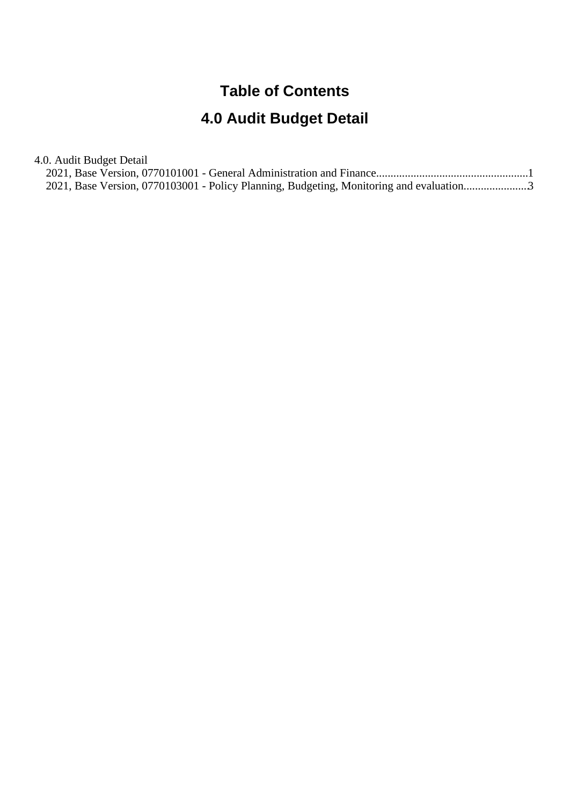#### **Table of Contents**

#### **4.0 Audit Budget Detail**

4.0. Audit Budget Detail

|  |  | 2021, Base Version, 0770103001 - Policy Planning, Budgeting, Monitoring and evaluation3 |  |
|--|--|-----------------------------------------------------------------------------------------|--|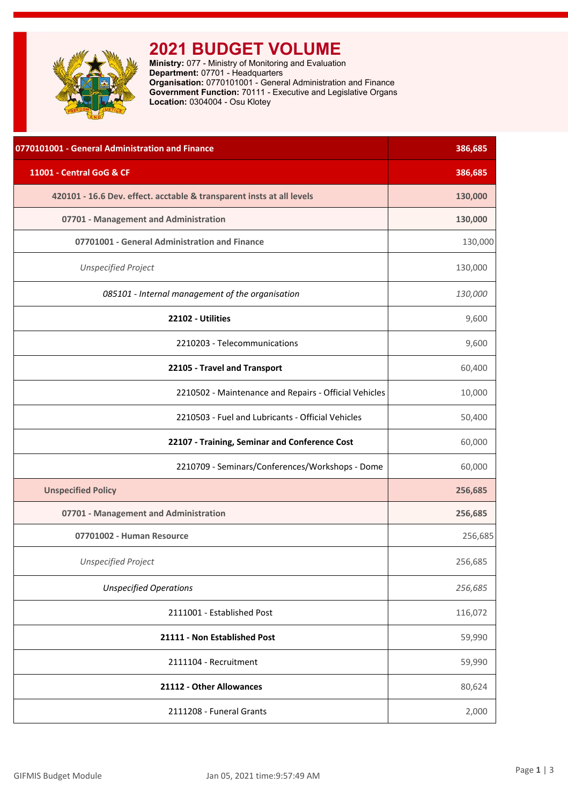<span id="page-1-0"></span>

## **2021 BUDGET VOLUME**

**Ministry:** 077 - Ministry of Monitoring and Evaluation **Department:** 07701 - Headquarters **Organisation:** 0770101001 - General Administration and Finance **Government Function:** 70111 - Executive and Legislative Organs **Location:** 0304004 - Osu Klotey

| 0770101001 - General Administration and Finance                       | 386,685 |
|-----------------------------------------------------------------------|---------|
| 11001 - Central GoG & CF                                              | 386,685 |
| 420101 - 16.6 Dev. effect. acctable & transparent insts at all levels | 130,000 |
| 07701 - Management and Administration                                 | 130,000 |
| 07701001 - General Administration and Finance                         | 130,000 |
| <b>Unspecified Project</b>                                            | 130,000 |
| 085101 - Internal management of the organisation                      | 130,000 |
| 22102 - Utilities                                                     | 9,600   |
| 2210203 - Telecommunications                                          | 9,600   |
| 22105 - Travel and Transport                                          | 60,400  |
| 2210502 - Maintenance and Repairs - Official Vehicles                 | 10,000  |
| 2210503 - Fuel and Lubricants - Official Vehicles                     | 50,400  |
| 22107 - Training, Seminar and Conference Cost                         | 60,000  |
| 2210709 - Seminars/Conferences/Workshops - Dome                       | 60,000  |
| <b>Unspecified Policy</b>                                             | 256,685 |
| 07701 - Management and Administration                                 | 256,685 |
| 07701002 - Human Resource                                             | 256,685 |
| <b>Unspecified Project</b>                                            | 256,685 |
| <b>Unspecified Operations</b>                                         | 256,685 |
| 2111001 - Established Post                                            | 116,072 |
| 21111 - Non Established Post                                          | 59,990  |
| 2111104 - Recruitment                                                 | 59,990  |
| 21112 - Other Allowances                                              | 80,624  |
| 2111208 - Funeral Grants                                              | 2,000   |
|                                                                       |         |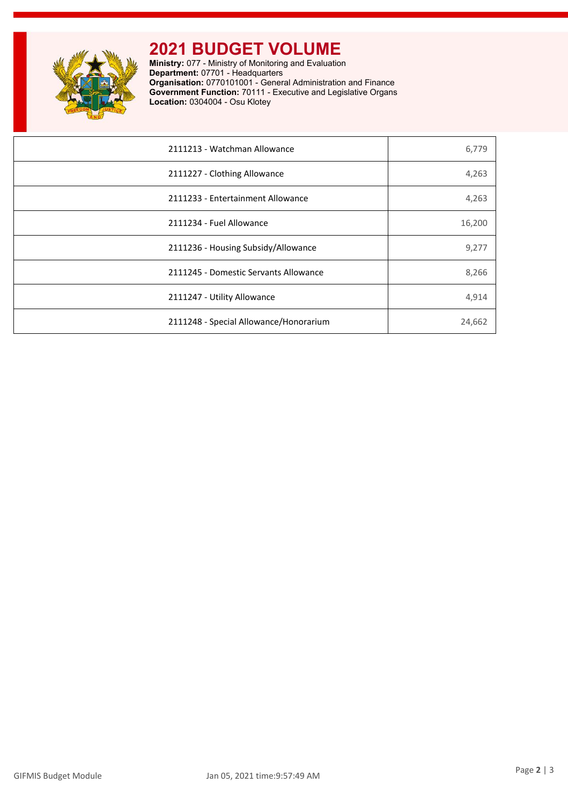

# **2021 BUDGET VOLUME**

**Ministry:** 077 - Ministry of Monitoring and Evaluation **Department:** 07701 - Headquarters **Organisation:** 0770101001 - General Administration and Finance **Government Function:** 70111 - Executive and Legislative Organs **Location:** 0304004 - Osu Klotey

| 2111213 - Watchman Allowance           | 6,779  |
|----------------------------------------|--------|
| 2111227 - Clothing Allowance           | 4,263  |
| 2111233 - Entertainment Allowance      | 4,263  |
| 2111234 - Fuel Allowance               | 16,200 |
| 2111236 - Housing Subsidy/Allowance    | 9,277  |
| 2111245 - Domestic Servants Allowance  | 8,266  |
| 2111247 - Utility Allowance            | 4,914  |
| 2111248 - Special Allowance/Honorarium | 24,662 |